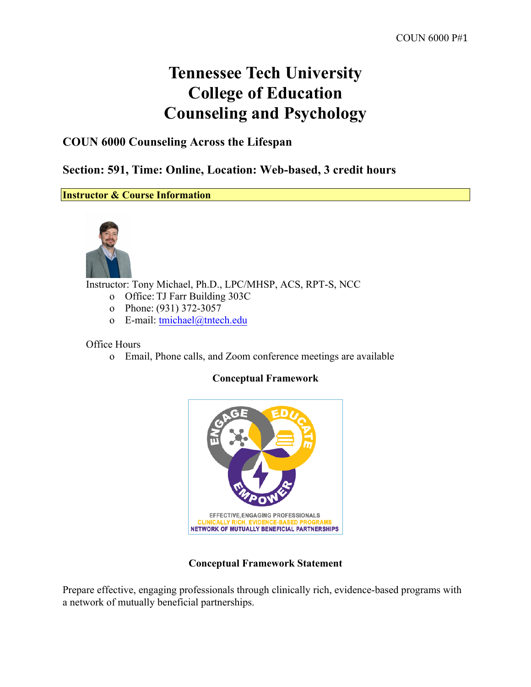# **Tennessee Tech University College of Education Counseling and Psychology**

## **COUN 6000 Counseling Across the Lifespan**

**Section: 591, Time: Online, Location: Web-based, 3 credit hours**

**Instructor & Course Information**



Instructor: Tony Michael, Ph.D., LPC/MHSP, ACS, RPT-S, NCC

- o Office: TJ Farr Building 303C
- o Phone: (931) 372-3057
- o E-mail: tmichael@tntech.edu

Office Hours

o Email, Phone calls, and Zoom conference meetings are available

#### **Conceptual Framework**



#### **Conceptual Framework Statement**

Prepare effective, engaging professionals through clinically rich, evidence-based programs with a network of mutually beneficial partnerships.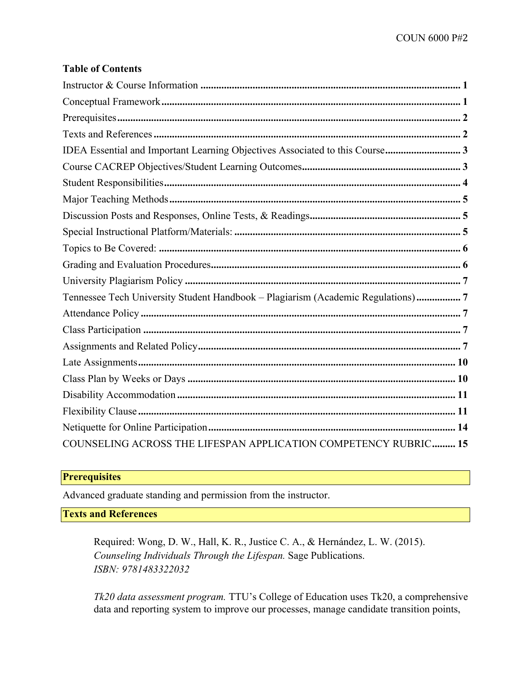#### **Table of Contents**

| IDEA Essential and Important Learning Objectives Associated to this Course3     |
|---------------------------------------------------------------------------------|
|                                                                                 |
|                                                                                 |
|                                                                                 |
|                                                                                 |
|                                                                                 |
|                                                                                 |
|                                                                                 |
|                                                                                 |
| Tennessee Tech University Student Handbook - Plagiarism (Academic Regulations)7 |
|                                                                                 |
|                                                                                 |
|                                                                                 |
|                                                                                 |
|                                                                                 |
|                                                                                 |
|                                                                                 |
|                                                                                 |
| COUNSELING ACROSS THE LIFESPAN APPLICATION COMPETENCY RUBRIC 15                 |

## **Prerequisites**

Advanced graduate standing and permission from the instructor.

**Texts and References**

Required: Wong, D. W., Hall, K. R., Justice C. A., & Hernández, L. W. (2015). *Counseling Individuals Through the Lifespan.* Sage Publications. *ISBN: 9781483322032*

*Tk20 data assessment program.* TTU's College of Education uses Tk20, a comprehensive data and reporting system to improve our processes, manage candidate transition points,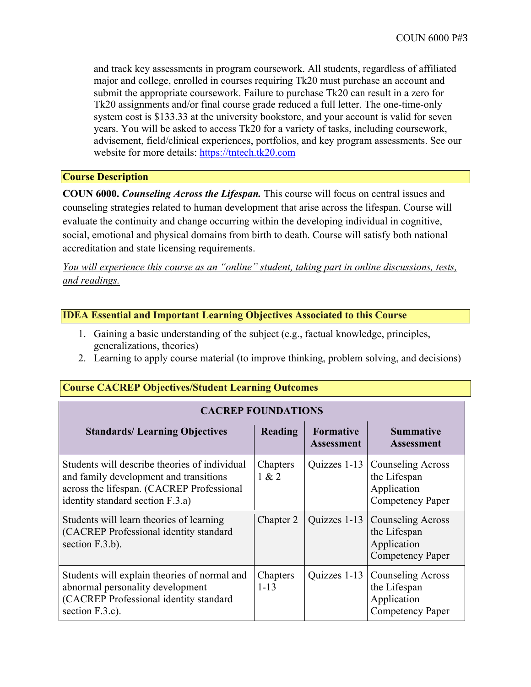and track key assessments in program coursework. All students, regardless of affiliated major and college, enrolled in courses requiring Tk20 must purchase an account and submit the appropriate coursework. Failure to purchase Tk20 can result in a zero for Tk20 assignments and/or final course grade reduced a full letter. The one-time-only system cost is \$133.33 at the university bookstore, and your account is valid for seven years. You will be asked to access Tk20 for a variety of tasks, including coursework, advisement, field/clinical experiences, portfolios, and key program assessments. See our website for more details: https://tntech.tk20.com

#### **Course Description**

**COUN 6000.** *Counseling Across the Lifespan.* This course will focus on central issues and counseling strategies related to human development that arise across the lifespan. Course will evaluate the continuity and change occurring within the developing individual in cognitive, social, emotional and physical domains from birth to death. Course will satisfy both national accreditation and state licensing requirements.

*You will experience this course as an "online" student, taking part in online discussions, tests, and readings.*

#### **IDEA Essential and Important Learning Objectives Associated to this Course**

- 1. Gaining a basic understanding of the subject (e.g., factual knowledge, principles, generalizations, theories)
- 2. Learning to apply course material (to improve thinking, problem solving, and decisions)

| <b>CACREP FOUNDATIONS</b>                                                                                                                                                |                      |                                       |                                                                                    |  |  |
|--------------------------------------------------------------------------------------------------------------------------------------------------------------------------|----------------------|---------------------------------------|------------------------------------------------------------------------------------|--|--|
| <b>Standards/Learning Objectives</b>                                                                                                                                     | <b>Reading</b>       | <b>Formative</b><br><b>Assessment</b> | <b>Summative</b><br><b>Assessment</b>                                              |  |  |
| Students will describe theories of individual<br>and family development and transitions<br>across the lifespan. (CACREP Professional<br>identity standard section F.3.a) | Chapters<br>1 & 2    | Quizzes 1-13                          | <b>Counseling Across</b><br>the Lifespan<br>Application<br>Competency Paper        |  |  |
| Students will learn theories of learning<br>(CACREP Professional identity standard<br>section F.3.b).                                                                    | Chapter 2            | Quizzes 1-13                          | <b>Counseling Across</b><br>the Lifespan<br>Application<br><b>Competency Paper</b> |  |  |
| Students will explain theories of normal and<br>abnormal personality development<br>(CACREP Professional identity standard<br>section F.3.c).                            | Chapters<br>$1 - 13$ | Quizzes 1-13                          | <b>Counseling Across</b><br>the Lifespan<br>Application<br><b>Competency Paper</b> |  |  |

### **Course CACREP Objectives/Student Learning Outcomes**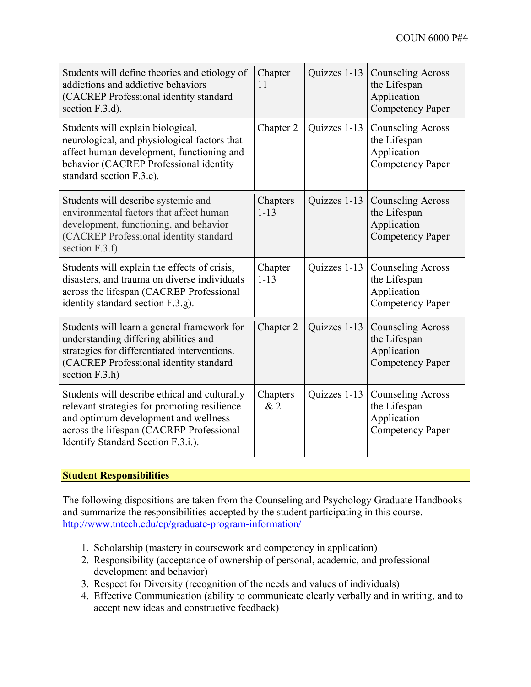| Students will define theories and etiology of<br>addictions and addictive behaviors<br>(CACREP Professional identity standard<br>section F.3.d).                                                                        | Chapter<br>11        | Quizzes 1-13 | <b>Counseling Across</b><br>the Lifespan<br>Application<br><b>Competency Paper</b> |
|-------------------------------------------------------------------------------------------------------------------------------------------------------------------------------------------------------------------------|----------------------|--------------|------------------------------------------------------------------------------------|
| Students will explain biological,<br>neurological, and physiological factors that<br>affect human development, functioning and<br>behavior (CACREP Professional identity<br>standard section F.3.e).                    | Chapter 2            | Quizzes 1-13 | <b>Counseling Across</b><br>the Lifespan<br>Application<br><b>Competency Paper</b> |
| Students will describe systemic and<br>environmental factors that affect human<br>development, functioning, and behavior<br>(CACREP Professional identity standard<br>section F.3.f)                                    | Chapters<br>$1 - 13$ | Quizzes 1-13 | <b>Counseling Across</b><br>the Lifespan<br>Application<br><b>Competency Paper</b> |
| Students will explain the effects of crisis,<br>disasters, and trauma on diverse individuals<br>across the lifespan (CACREP Professional<br>identity standard section F.3.g).                                           | Chapter<br>$1 - 13$  | Quizzes 1-13 | <b>Counseling Across</b><br>the Lifespan<br>Application<br><b>Competency Paper</b> |
| Students will learn a general framework for<br>understanding differing abilities and<br>strategies for differentiated interventions.<br>(CACREP Professional identity standard<br>section $F.3.h$ )                     | Chapter 2            | Quizzes 1-13 | <b>Counseling Across</b><br>the Lifespan<br>Application<br><b>Competency Paper</b> |
| Students will describe ethical and culturally<br>relevant strategies for promoting resilience<br>and optimum development and wellness<br>across the lifespan (CACREP Professional<br>Identify Standard Section F.3.i.). | Chapters<br>1 & 2    | Quizzes 1-13 | <b>Counseling Across</b><br>the Lifespan<br>Application<br>Competency Paper        |

#### **Student Responsibilities**

The following dispositions are taken from the Counseling and Psychology Graduate Handbooks and summarize the responsibilities accepted by the student participating in this course. http://www.tntech.edu/cp/graduate-program-information/

- 1. Scholarship (mastery in coursework and competency in application)
- 2. Responsibility (acceptance of ownership of personal, academic, and professional development and behavior)
- 3. Respect for Diversity (recognition of the needs and values of individuals)
- 4. Effective Communication (ability to communicate clearly verbally and in writing, and to accept new ideas and constructive feedback)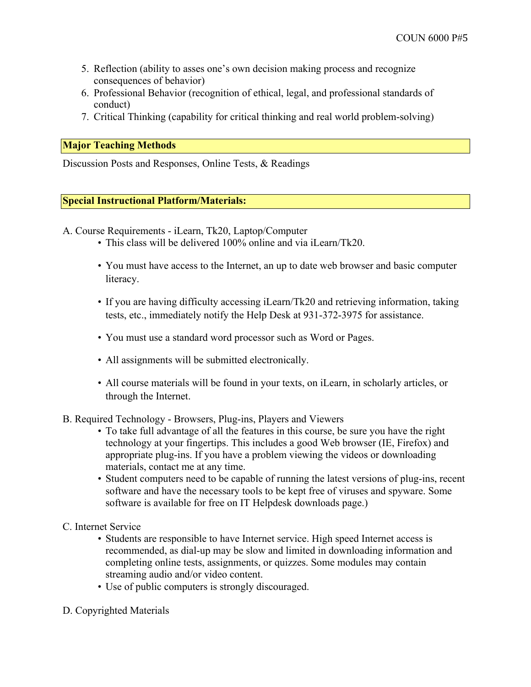- 5. Reflection (ability to asses one's own decision making process and recognize consequences of behavior)
- 6. Professional Behavior (recognition of ethical, legal, and professional standards of conduct)
- 7. Critical Thinking (capability for critical thinking and real world problem-solving)

#### **Major Teaching Methods**

Discussion Posts and Responses, Online Tests, & Readings

#### **Special Instructional Platform/Materials:**

A. Course Requirements - iLearn, Tk20, Laptop/Computer

- This class will be delivered 100% online and via iLearn/Tk20.
- You must have access to the Internet, an up to date web browser and basic computer literacy.
- If you are having difficulty accessing iLearn/Tk20 and retrieving information, taking tests, etc., immediately notify the Help Desk at 931-372-3975 for assistance.
- You must use a standard word processor such as Word or Pages.
- All assignments will be submitted electronically.
- All course materials will be found in your texts, on iLearn, in scholarly articles, or through the Internet.
- B. Required Technology Browsers, Plug-ins, Players and Viewers
	- To take full advantage of all the features in this course, be sure you have the right technology at your fingertips. This includes a good Web browser (IE, Firefox) and appropriate plug-ins. If you have a problem viewing the videos or downloading materials, contact me at any time.
	- Student computers need to be capable of running the latest versions of plug-ins, recent software and have the necessary tools to be kept free of viruses and spyware. Some software is available for free on IT Helpdesk downloads page.)
- C. Internet Service
	- Students are responsible to have Internet service. High speed Internet access is recommended, as dial-up may be slow and limited in downloading information and completing online tests, assignments, or quizzes. Some modules may contain streaming audio and/or video content.
	- Use of public computers is strongly discouraged.
- D. Copyrighted Materials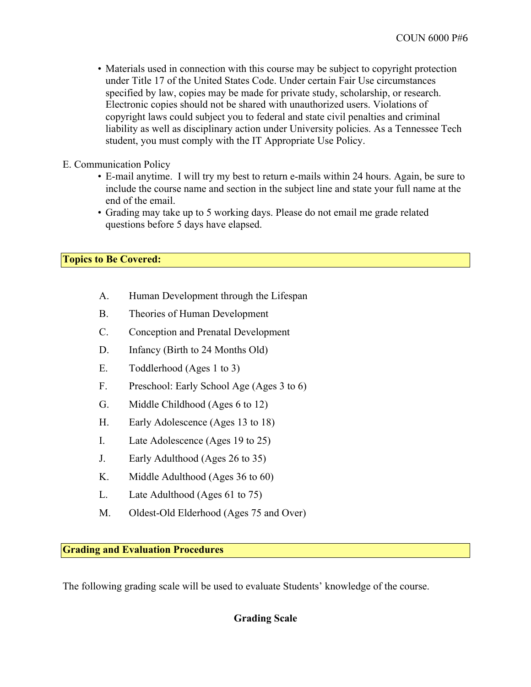- Materials used in connection with this course may be subject to copyright protection under Title 17 of the United States Code. Under certain Fair Use circumstances specified by law, copies may be made for private study, scholarship, or research. Electronic copies should not be shared with unauthorized users. Violations of copyright laws could subject you to federal and state civil penalties and criminal liability as well as disciplinary action under University policies. As a Tennessee Tech student, you must comply with the IT Appropriate Use Policy.
- E. Communication Policy
	- E-mail anytime. I will try my best to return e-mails within 24 hours. Again, be sure to include the course name and section in the subject line and state your full name at the end of the email.
	- Grading may take up to 5 working days. Please do not email me grade related questions before 5 days have elapsed.

#### **Topics to Be Covered:**

- A. Human Development through the Lifespan
- B. Theories of Human Development
- C. Conception and Prenatal Development
- D. Infancy (Birth to 24 Months Old)
- E. Toddlerhood (Ages 1 to 3)
- F. Preschool: Early School Age (Ages 3 to 6)
- G. Middle Childhood (Ages 6 to 12)
- H. Early Adolescence (Ages 13 to 18)
- I. Late Adolescence (Ages 19 to 25)
- J. Early Adulthood (Ages 26 to 35)
- K. Middle Adulthood (Ages 36 to 60)
- L. Late Adulthood (Ages 61 to 75)
- M. Oldest-Old Elderhood (Ages 75 and Over)

**Grading and Evaluation Procedures**

The following grading scale will be used to evaluate Students' knowledge of the course.

## **Grading Scale**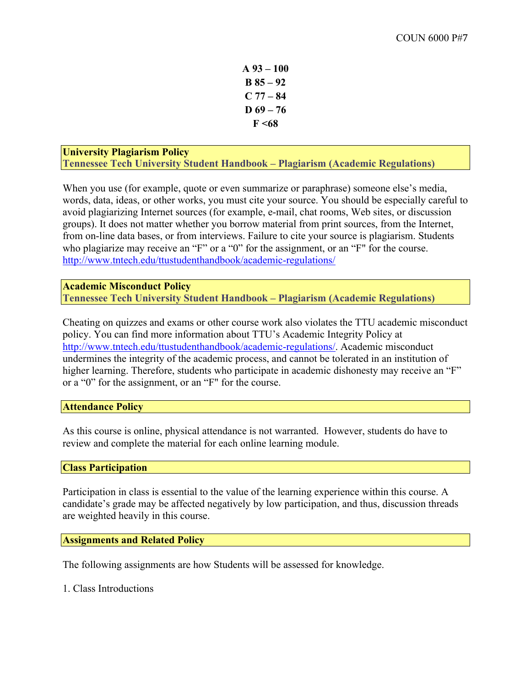**A 93 – 100 B 85 – 92 C 77 – 84 D 69 – 76 F <68**

#### **University Plagiarism Policy Tennessee Tech University Student Handbook – Plagiarism (Academic Regulations)**

When you use (for example, quote or even summarize or paraphrase) someone else's media, words, data, ideas, or other works, you must cite your source. You should be especially careful to avoid plagiarizing Internet sources (for example, e-mail, chat rooms, Web sites, or discussion groups). It does not matter whether you borrow material from print sources, from the Internet, from on-line data bases, or from interviews. Failure to cite your source is plagiarism. Students who plagiarize may receive an "F" or a "0" for the assignment, or an "F" for the course. http://www.tntech.edu/ttustudenthandbook/academic-regulations/

#### **Academic Misconduct Policy Tennessee Tech University Student Handbook – Plagiarism (Academic Regulations)**

Cheating on quizzes and exams or other course work also violates the TTU academic misconduct policy. You can find more information about TTU's Academic Integrity Policy at http://www.tntech.edu/ttustudenthandbook/academic-regulations/. Academic misconduct undermines the integrity of the academic process, and cannot be tolerated in an institution of higher learning. Therefore, students who participate in academic dishonesty may receive an "F" or a "0" for the assignment, or an "F" for the course.

#### **Attendance Policy**

As this course is online, physical attendance is not warranted. However, students do have to review and complete the material for each online learning module.

#### **Class Participation**

Participation in class is essential to the value of the learning experience within this course. A candidate's grade may be affected negatively by low participation, and thus, discussion threads are weighted heavily in this course.

#### **Assignments and Related Policy**

The following assignments are how Students will be assessed for knowledge.

1. Class Introductions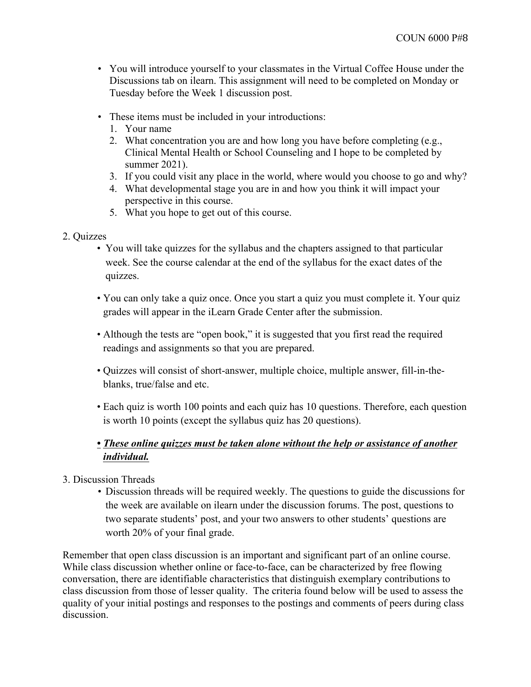- You will introduce yourself to your classmates in the Virtual Coffee House under the Discussions tab on ilearn. This assignment will need to be completed on Monday or Tuesday before the Week 1 discussion post.
- These items must be included in your introductions:
	- 1. Your name
	- 2. What concentration you are and how long you have before completing (e.g., Clinical Mental Health or School Counseling and I hope to be completed by summer 2021).
	- 3. If you could visit any place in the world, where would you choose to go and why?
	- 4. What developmental stage you are in and how you think it will impact your perspective in this course.
	- 5. What you hope to get out of this course.
- 2. Quizzes
	- You will take quizzes for the syllabus and the chapters assigned to that particular week. See the course calendar at the end of the syllabus for the exact dates of the quizzes.
	- You can only take a quiz once. Once you start a quiz you must complete it. Your quiz grades will appear in the iLearn Grade Center after the submission.
	- Although the tests are "open book," it is suggested that you first read the required readings and assignments so that you are prepared.
	- Quizzes will consist of short-answer, multiple choice, multiple answer, fill-in-theblanks, true/false and etc.
	- Each quiz is worth 100 points and each quiz has 10 questions. Therefore, each question is worth 10 points (except the syllabus quiz has 20 questions).

## *• These online quizzes must be taken alone without the help or assistance of another individual.*

- 3. Discussion Threads
	- Discussion threads will be required weekly. The questions to guide the discussions for the week are available on ilearn under the discussion forums. The post, questions to two separate students' post, and your two answers to other students' questions are worth 20% of your final grade.

Remember that open class discussion is an important and significant part of an online course. While class discussion whether online or face-to-face, can be characterized by free flowing conversation, there are identifiable characteristics that distinguish exemplary contributions to class discussion from those of lesser quality. The criteria found below will be used to assess the quality of your initial postings and responses to the postings and comments of peers during class discussion.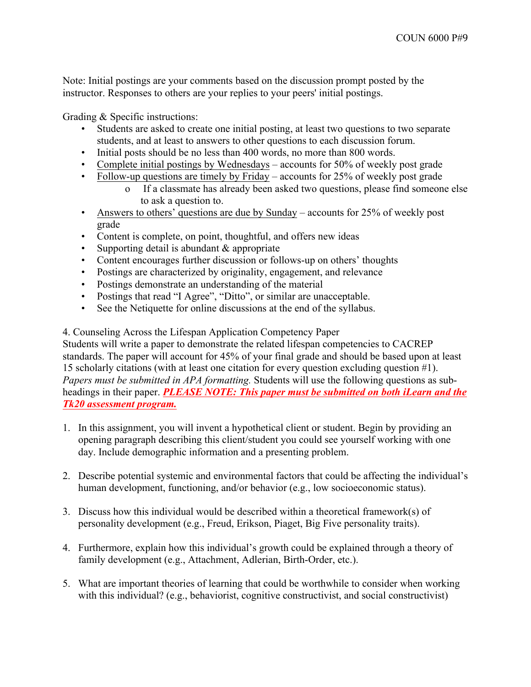Note: Initial postings are your comments based on the discussion prompt posted by the instructor. Responses to others are your replies to your peers' initial postings.

Grading & Specific instructions:

- Students are asked to create one initial posting, at least two questions to two separate students, and at least to answers to other questions to each discussion forum.
- Initial posts should be no less than 400 words, no more than 800 words.
- Complete initial postings by Wednesdays accounts for 50% of weekly post grade
- Follow-up questions are timely by Friday accounts for 25% of weekly post grade
	- o If a classmate has already been asked two questions, please find someone else to ask a question to.
- Answers to others' questions are due by Sunday accounts for 25% of weekly post grade
- Content is complete, on point, thoughtful, and offers new ideas
- Supporting detail is abundant  $&$  appropriate
- Content encourages further discussion or follows-up on others' thoughts
- Postings are characterized by originality, engagement, and relevance
- Postings demonstrate an understanding of the material
- Postings that read "I Agree", "Ditto", or similar are unacceptable.
- See the Netiquette for online discussions at the end of the syllabus.

4. Counseling Across the Lifespan Application Competency Paper

Students will write a paper to demonstrate the related lifespan competencies to CACREP standards. The paper will account for 45% of your final grade and should be based upon at least 15 scholarly citations (with at least one citation for every question excluding question #1). *Papers must be submitted in APA formatting.* Students will use the following questions as subheadings in their paper. *PLEASE NOTE: This paper must be submitted on both iLearn and the Tk20 assessment program.*

- 1. In this assignment, you will invent a hypothetical client or student. Begin by providing an opening paragraph describing this client/student you could see yourself working with one day. Include demographic information and a presenting problem.
- 2. Describe potential systemic and environmental factors that could be affecting the individual's human development, functioning, and/or behavior (e.g., low socioeconomic status).
- 3. Discuss how this individual would be described within a theoretical framework(s) of personality development (e.g., Freud, Erikson, Piaget, Big Five personality traits).
- 4. Furthermore, explain how this individual's growth could be explained through a theory of family development (e.g., Attachment, Adlerian, Birth-Order, etc.).
- 5. What are important theories of learning that could be worthwhile to consider when working with this individual? (e.g., behaviorist, cognitive constructivist, and social constructivist)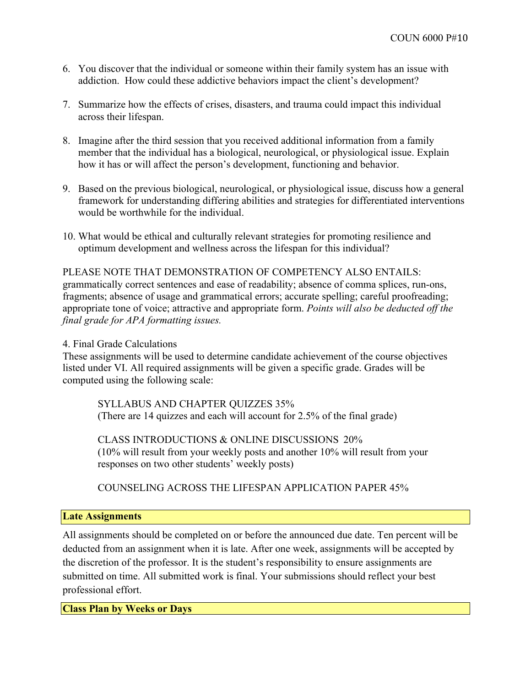- 6. You discover that the individual or someone within their family system has an issue with addiction. How could these addictive behaviors impact the client's development?
- 7. Summarize how the effects of crises, disasters, and trauma could impact this individual across their lifespan.
- 8. Imagine after the third session that you received additional information from a family member that the individual has a biological, neurological, or physiological issue. Explain how it has or will affect the person's development, functioning and behavior.
- 9. Based on the previous biological, neurological, or physiological issue, discuss how a general framework for understanding differing abilities and strategies for differentiated interventions would be worthwhile for the individual.
- 10. What would be ethical and culturally relevant strategies for promoting resilience and optimum development and wellness across the lifespan for this individual?

PLEASE NOTE THAT DEMONSTRATION OF COMPETENCY ALSO ENTAILS: grammatically correct sentences and ease of readability; absence of comma splices, run-ons, fragments; absence of usage and grammatical errors; accurate spelling; careful proofreading; appropriate tone of voice; attractive and appropriate form. *Points will also be deducted off the final grade for APA formatting issues.*

#### 4. Final Grade Calculations

These assignments will be used to determine candidate achievement of the course objectives listed under VI. All required assignments will be given a specific grade. Grades will be computed using the following scale:

SYLLABUS AND CHAPTER QUIZZES 35% (There are 14 quizzes and each will account for 2.5% of the final grade)

CLASS INTRODUCTIONS & ONLINE DISCUSSIONS 20% (10% will result from your weekly posts and another 10% will result from your responses on two other students' weekly posts)

COUNSELING ACROSS THE LIFESPAN APPLICATION PAPER 45%

#### **Late Assignments**

All assignments should be completed on or before the announced due date. Ten percent will be deducted from an assignment when it is late. After one week, assignments will be accepted by the discretion of the professor. It is the student's responsibility to ensure assignments are submitted on time. All submitted work is final. Your submissions should reflect your best professional effort.

**Class Plan by Weeks or Days**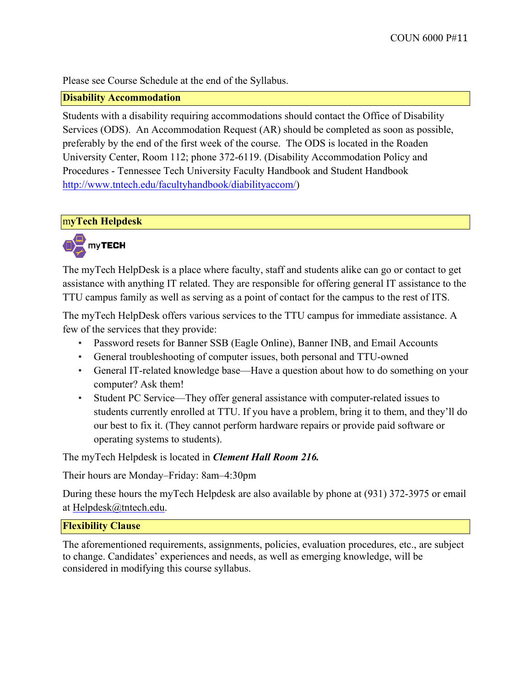Please see Course Schedule at the end of the Syllabus.

#### **Disability Accommodation**

Students with a disability requiring accommodations should contact the Office of Disability Services (ODS). An Accommodation Request (AR) should be completed as soon as possible, preferably by the end of the first week of the course. The ODS is located in the Roaden University Center, Room 112; phone 372-6119. (Disability Accommodation Policy and Procedures - Tennessee Tech University Faculty Handbook and Student Handbook http://www.tntech.edu/facultyhandbook/diabilityaccom/)

#### m**yTech Helpdesk**



The myTech HelpDesk is a place where faculty, staff and students alike can go or contact to get assistance with anything IT related. They are responsible for offering general IT assistance to the TTU campus family as well as serving as a point of contact for the campus to the rest of ITS.

The myTech HelpDesk offers various services to the TTU campus for immediate assistance. A few of the services that they provide:

- Password resets for Banner SSB (Eagle Online), Banner INB, and Email Accounts
- General troubleshooting of computer issues, both personal and TTU-owned
- General IT-related knowledge base—Have a question about how to do something on your computer? Ask them!
- Student PC Service—They offer general assistance with computer-related issues to students currently enrolled at TTU. If you have a problem, bring it to them, and they'll do our best to fix it. (They cannot perform hardware repairs or provide paid software or operating systems to students).

The myTech Helpdesk is located in *Clement Hall Room 216.*

Their hours are Monday–Friday: 8am–4:30pm

During these hours the myTech Helpdesk are also available by phone at (931) 372-3975 or email at Helpdesk@tntech.edu.

#### **Flexibility Clause**

The aforementioned requirements, assignments, policies, evaluation procedures, etc., are subject to change. Candidates' experiences and needs, as well as emerging knowledge, will be considered in modifying this course syllabus.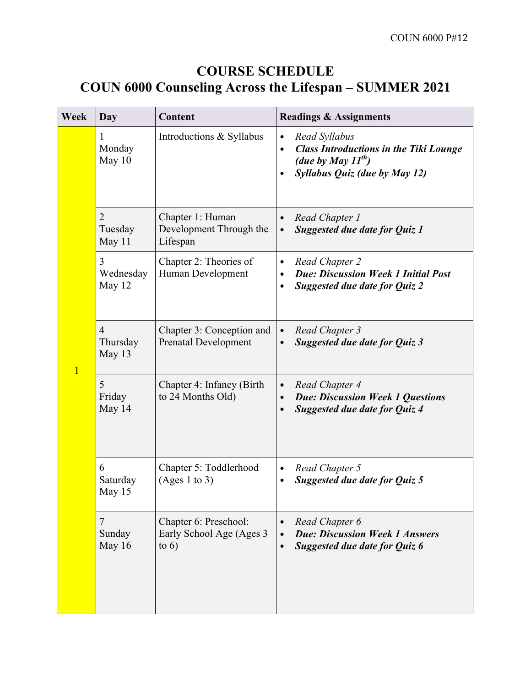## **COURSE SCHEDULE COUN 6000 Counseling Across the Lifespan – SUMMER 2021**

| Week           | Day                                  | Content                                                       | <b>Readings &amp; Assignments</b>                                                                                                                    |
|----------------|--------------------------------------|---------------------------------------------------------------|------------------------------------------------------------------------------------------------------------------------------------------------------|
|                | 1<br>Monday<br>May $10$              | Introductions & Syllabus                                      | Read Syllabus<br>$\bullet$<br><b>Class Introductions in the Tiki Lounge</b><br>$\bullet$<br>(due by May $11^{th}$ )<br>Syllabus Quiz (due by May 12) |
|                | $\overline{2}$<br>Tuesday<br>May 11  | Chapter 1: Human<br>Development Through the<br>Lifespan       | Read Chapter 1<br>$\bullet$<br>Suggested due date for Quiz 1<br>$\bullet$                                                                            |
|                | 3<br>Wednesday<br>May 12             | Chapter 2: Theories of<br>Human Development                   | Read Chapter 2<br>$\bullet$<br><b>Due: Discussion Week 1 Initial Post</b><br>$\bullet$<br><b>Suggested due date for Quiz 2</b><br>$\bullet$          |
| $\overline{1}$ | $\overline{4}$<br>Thursday<br>May 13 | Chapter 3: Conception and<br><b>Prenatal Development</b>      | Read Chapter 3<br>$\bullet$<br>Suggested due date for Quiz 3<br>$\bullet$                                                                            |
|                | 5<br>Friday<br>May 14                | Chapter 4: Infancy (Birth)<br>to 24 Months Old)               | Read Chapter 4<br>$\bullet$<br><b>Due: Discussion Week 1 Questions</b><br>$\bullet$<br><b>Suggested due date for Quiz 4</b><br>$\bullet$             |
|                | 6<br>Saturday<br>May 15              | Chapter 5: Toddlerhood<br>(Ages 1 to 3)                       | Read Chapter 5<br>$\bullet$<br><b>Suggested due date for Quiz 5</b>                                                                                  |
|                | $\overline{7}$<br>Sunday<br>May 16   | Chapter 6: Preschool:<br>Early School Age (Ages 3)<br>to $6)$ | Read Chapter 6<br>$\bullet$<br><b>Due: Discussion Week 1 Answers</b><br>$\bullet$<br>Suggested due date for Quiz 6                                   |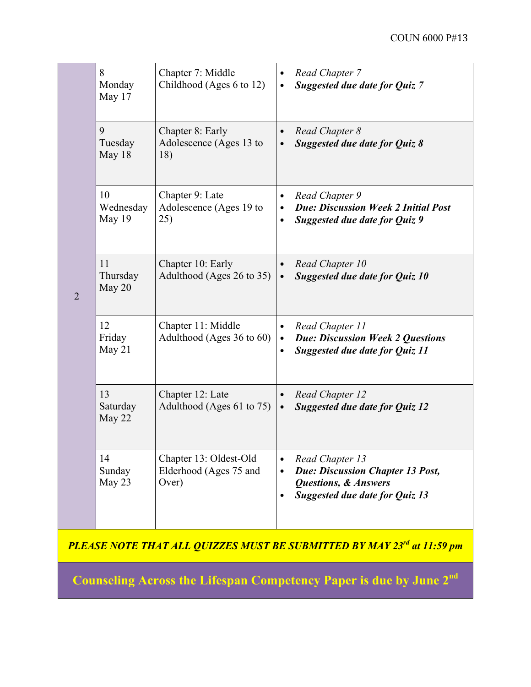|                | 8<br>Chapter 7: Middle<br>Monday<br>Childhood (Ages 6 to 12)<br>May 17 |                                                           | $\bullet$<br>$\bullet$              | Read Chapter 7<br>Suggested due date for Quiz 7                                                                                        |
|----------------|------------------------------------------------------------------------|-----------------------------------------------------------|-------------------------------------|----------------------------------------------------------------------------------------------------------------------------------------|
|                | 9<br>Tuesday<br>May 18                                                 | Chapter 8: Early<br>Adolescence (Ages 13 to<br>18)        | $\bullet$                           | Read Chapter 8<br>Suggested due date for Quiz 8                                                                                        |
|                | 10<br>Wednesday<br>May 19                                              | Chapter 9: Late<br>Adolescence (Ages 19 to<br>25)         | ٠<br>$\bullet$                      | Read Chapter 9<br><b>Due: Discussion Week 2 Initial Post</b><br>Suggested due date for Quiz 9                                          |
| $\overline{2}$ | 11<br>Thursday<br>May 20                                               | Chapter 10: Early<br>Adulthood (Ages 26 to 35)            |                                     | Read Chapter 10<br>Suggested due date for Quiz 10                                                                                      |
|                | 12<br>Friday<br>May 21                                                 | Chapter 11: Middle<br>Adulthood (Ages 36 to 60)           | $\bullet$<br>$\bullet$              | Read Chapter 11<br><b>Due: Discussion Week 2 Questions</b><br>Suggested due date for Quiz 11                                           |
|                | 13<br>Saturday<br>May 22                                               | Chapter 12: Late<br>Adulthood (Ages 61 to 75)             | $\bullet$<br>$\bullet$              | Read Chapter 12<br>Suggested due date for Quiz 12                                                                                      |
|                | 14<br>Sunday<br>May 23                                                 | Chapter 13: Oldest-Old<br>Elderhood (Ages 75 and<br>Over) | $\bullet$<br>$\bullet$<br>$\bullet$ | Read Chapter 13<br><b>Due: Discussion Chapter 13 Post,</b><br><b>Questions, &amp; Answers</b><br><b>Suggested due date for Quiz 13</b> |

*PLEASE NOTE THAT ALL QUIZZES MUST BE SUBMITTED BY MAY 23rd at 11:59 pm*

**Counseling Across the Lifespan Competency Paper is due by June 2nd**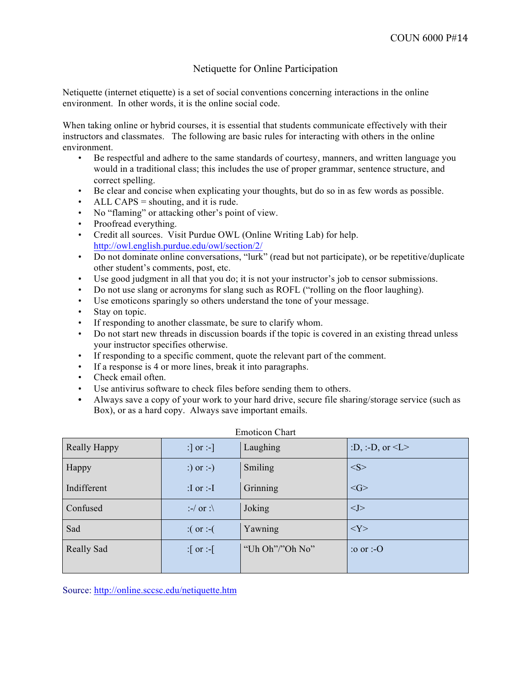#### Netiquette for Online Participation

Netiquette (internet etiquette) is a set of social conventions concerning interactions in the online environment. In other words, it is the online social code.

When taking online or hybrid courses, it is essential that students communicate effectively with their instructors and classmates. The following are basic rules for interacting with others in the online environment.

- Be respectful and adhere to the same standards of courtesy, manners, and written language you would in a traditional class; this includes the use of proper grammar, sentence structure, and correct spelling.
- Be clear and concise when explicating your thoughts, but do so in as few words as possible.
- ALL CAPS  $=$  shouting, and it is rude.
- No "flaming" or attacking other's point of view.
- Proofread everything.
- Credit all sources. Visit Purdue OWL (Online Writing Lab) for help. http://owl.english.purdue.edu/owl/section/2/
- Do not dominate online conversations, "lurk" (read but not participate), or be repetitive/duplicate other student's comments, post, etc.
- Use good judgment in all that you do; it is not your instructor's job to censor submissions.
- Do not use slang or acronyms for slang such as ROFL ("rolling on the floor laughing).
- Use emoticons sparingly so others understand the tone of your message.
- Stay on topic.
- If responding to another classmate, be sure to clarify whom.
- Do not start new threads in discussion boards if the topic is covered in an existing thread unless your instructor specifies otherwise.
- If responding to a specific comment, quote the relevant part of the comment.
- If a response is 4 or more lines, break it into paragraphs.
- Check email often.
- Use antivirus software to check files before sending them to others.
- Always save a copy of your work to your hard drive, secure file sharing/storage service (such as Box), or as a hard copy. Always save important emails.

| <b>Really Happy</b> | :] or :-]                    | Laughing        | :D, :-D, or $\leq L$ >                                                 |
|---------------------|------------------------------|-----------------|------------------------------------------------------------------------|
| Happy               | :) or :-)                    | Smiling         | $<\!\!S\!\!>$                                                          |
| Indifferent         | :I or :-I                    | Grinning        | $\langle G \rangle$                                                    |
| Confused            | $\therefore$ or $\therefore$ | Joking          | < J >                                                                  |
| Sad                 | $\therefore$ or :-(          | Yawning         | <y></y>                                                                |
| Really Sad          | :[ or :-[                    | "Uh Oh"/"Oh No" | $\overline{\text{.}}\text{.}$ or $\overline{\text{.}}\text{-}\text{O}$ |
|                     |                              |                 |                                                                        |

#### Emoticon Chart

Source: http://online.sccsc.edu/netiquette.htm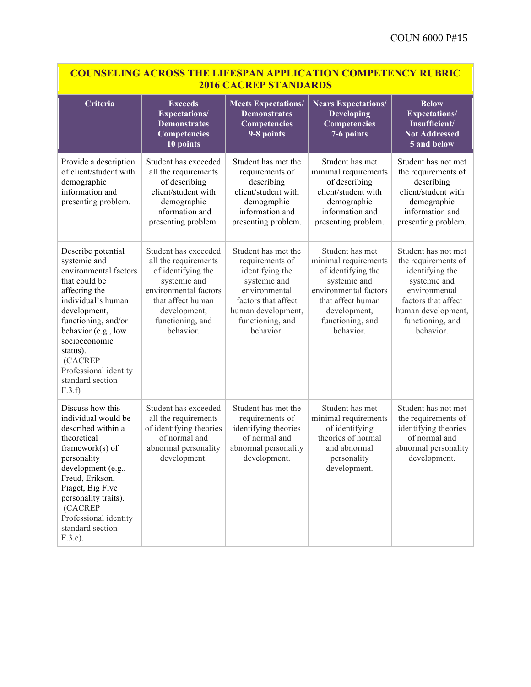| <b>COUNSELING ACROSS THE LIFESPAN APPLICATION COMPETENCY RUBRIC</b><br><b>2016 CACREP STANDARDS</b>                                                                                                                                                                                 |                                                                                                                                                                                   |                                                                                                                                                                          |                                                                                                                                                                              |                                                                                                                                                                              |  |
|-------------------------------------------------------------------------------------------------------------------------------------------------------------------------------------------------------------------------------------------------------------------------------------|-----------------------------------------------------------------------------------------------------------------------------------------------------------------------------------|--------------------------------------------------------------------------------------------------------------------------------------------------------------------------|------------------------------------------------------------------------------------------------------------------------------------------------------------------------------|------------------------------------------------------------------------------------------------------------------------------------------------------------------------------|--|
| Criteria                                                                                                                                                                                                                                                                            | <b>Exceeds</b><br><b>Expectations/</b><br><b>Demonstrates</b><br>Competencies<br>10 points                                                                                        | <b>Meets Expectations/</b><br><b>Demonstrates</b><br>Competencies<br>9-8 points                                                                                          | <b>Nears Expectations/</b><br><b>Developing</b><br><b>Competencies</b><br>7-6 points                                                                                         | <b>Below</b><br><b>Expectations/</b><br>Insufficient/<br><b>Not Addressed</b><br>5 and below                                                                                 |  |
| Provide a description<br>of client/student with<br>demographic<br>information and<br>presenting problem.                                                                                                                                                                            | Student has exceeded<br>all the requirements<br>of describing<br>client/student with<br>demographic<br>information and<br>presenting problem.                                     | Student has met the<br>requirements of<br>describing<br>client/student with<br>demographic<br>information and<br>presenting problem.                                     | Student has met<br>minimal requirements<br>of describing<br>client/student with<br>demographic<br>information and<br>presenting problem.                                     | Student has not met<br>the requirements of<br>describing<br>client/student with<br>demographic<br>information and<br>presenting problem.                                     |  |
| Describe potential<br>systemic and<br>environmental factors<br>that could be<br>affecting the<br>individual's human<br>development,<br>functioning, and/or<br>behavior (e.g., low<br>socioeconomic<br>status).<br>(CACREP<br>Professional identity<br>standard section<br>F.3.f     | Student has exceeded<br>all the requirements<br>of identifying the<br>systemic and<br>environmental factors<br>that affect human<br>development,<br>functioning, and<br>behavior. | Student has met the<br>requirements of<br>identifying the<br>systemic and<br>environmental<br>factors that affect<br>human development,<br>functioning, and<br>behavior. | Student has met<br>minimal requirements<br>of identifying the<br>systemic and<br>environmental factors<br>that affect human<br>development,<br>functioning, and<br>behavior. | Student has not met<br>the requirements of<br>identifying the<br>systemic and<br>environmental<br>factors that affect<br>human development,<br>functioning, and<br>behavior. |  |
| Discuss how this<br>individual would be<br>described within a<br>theoretical<br>framework $(s)$ of<br>personality<br>development (e.g.,<br>Freud, Erikson,<br>Piaget, Big Five<br>personality traits).<br><b>(CACREP</b><br>Professional identity<br>standard section<br>$F.3.c$ ). | Student has exceeded<br>all the requirements<br>of identifying theories<br>of normal and<br>abnormal personality<br>development.                                                  | Student has met the<br>requirements of<br>identifying theories<br>of normal and<br>abnormal personality<br>development.                                                  | Student has met<br>minimal requirements<br>of identifying<br>theories of normal<br>and abnormal<br>personality<br>development.                                               | Student has not met<br>the requirements of<br>identifying theories<br>of normal and<br>abnormal personality<br>development.                                                  |  |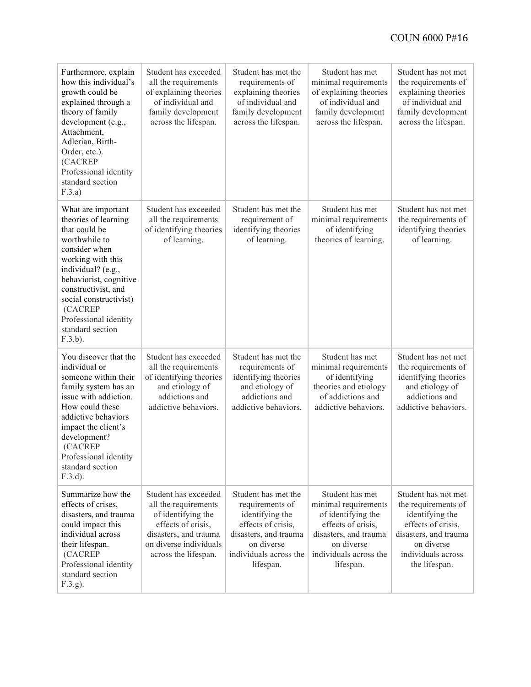| Furthermore, explain<br>how this individual's<br>growth could be<br>explained through a<br>theory of family<br>development (e.g.,<br>Attachment,<br>Adlerian, Birth-<br>Order, etc.).<br>(CACREP<br>Professional identity<br>standard section<br>F.3.a)                                   | Student has exceeded<br>all the requirements<br>of explaining theories<br>of individual and<br>family development<br>across the lifespan.                           | Student has met the<br>requirements of<br>explaining theories<br>of individual and<br>family development<br>across the lifespan.                              | Student has met<br>minimal requirements<br>of explaining theories<br>of individual and<br>family development<br>across the lifespan.                              | Student has not met<br>the requirements of<br>explaining theories<br>of individual and<br>family development<br>across the lifespan.                              |
|-------------------------------------------------------------------------------------------------------------------------------------------------------------------------------------------------------------------------------------------------------------------------------------------|---------------------------------------------------------------------------------------------------------------------------------------------------------------------|---------------------------------------------------------------------------------------------------------------------------------------------------------------|-------------------------------------------------------------------------------------------------------------------------------------------------------------------|-------------------------------------------------------------------------------------------------------------------------------------------------------------------|
| What are important<br>theories of learning<br>that could be<br>worthwhile to<br>consider when<br>working with this<br>individual? (e.g.,<br>behaviorist, cognitive<br>constructivist, and<br>social constructivist)<br>(CACREP<br>Professional identity<br>standard section<br>$F.3.b$ ). | Student has exceeded<br>all the requirements<br>of identifying theories<br>of learning.                                                                             | Student has met the<br>requirement of<br>identifying theories<br>of learning.                                                                                 | Student has met<br>minimal requirements<br>of identifying<br>theories of learning.                                                                                | Student has not met<br>the requirements of<br>identifying theories<br>of learning.                                                                                |
| You discover that the<br>individual or<br>someone within their<br>family system has an<br>issue with addiction.<br>How could these<br>addictive behaviors<br>impact the client's<br>development?<br>(CACREP<br>Professional identity<br>standard section<br>$F.3.d$ ).                    | Student has exceeded<br>all the requirements<br>of identifying theories<br>and etiology of<br>addictions and<br>addictive behaviors.                                | Student has met the<br>requirements of<br>identifying theories<br>and etiology of<br>addictions and<br>addictive behaviors.                                   | Student has met<br>minimal requirements<br>of identifying<br>theories and etiology<br>of addictions and<br>addictive behaviors.                                   | Student has not met<br>the requirements of<br>identifying theories<br>and etiology of<br>addictions and<br>addictive behaviors.                                   |
| Summarize how the<br>effects of crises,<br>disasters, and trauma<br>could impact this<br>individual across<br>their lifespan.<br>(CACREP<br>Professional identity<br>standard section<br>F.3.g.                                                                                           | Student has exceeded<br>all the requirements<br>of identifying the<br>effects of crisis,<br>disasters, and trauma<br>on diverse individuals<br>across the lifespan. | Student has met the<br>requirements of<br>identifying the<br>effects of crisis,<br>disasters, and trauma<br>on diverse<br>individuals across the<br>lifespan. | Student has met<br>minimal requirements<br>of identifying the<br>effects of crisis,<br>disasters, and trauma<br>on diverse<br>individuals across the<br>lifespan. | Student has not met<br>the requirements of<br>identifying the<br>effects of crisis,<br>disasters, and trauma<br>on diverse<br>individuals across<br>the lifespan. |